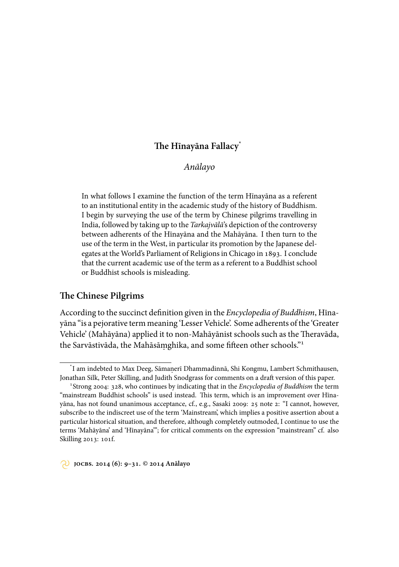# **e Hīnayāna Fallacy**\*

*Anālayo*

In what follows I examine the function of the term Hīnayāna as a referent to an institutional entity in the academic study of the history of Buddhism. I begin by surveying the use of the term by Chinese pilgrims travelling in India, followed by taking up to the *Tarkajvālā*'s depiction of the controversy between adherents of the Hīnayāna and the Mahāyāna. I then turn to the use of the term in the West, in particular its promotion by the Japanese delegates at the World's Parliament of Religions in Chicago in 1893. I conclude that the current academic use of the term as a referent to a Buddhist school or Buddhist schools is misleading.

## **e Chinese Pilgrims**

According to the succinct definition given in the *Encyclopedia of Buddhism*, Hīnayāna "is a pejorative term meaning 'Lesser Vehicle'. Some adherents of the 'Greater Vehicle' (Mahāyāna) applied it to non-Mahāyānist schools such as the Theravāda, the Sarvāstivāda, the Mahāsāṃghika, and some fifteen other schools."<sup>1</sup>

<sup>\*</sup> I am indebted to Max Deeg, Sāmanerī Dhammadinnā, Shi Kongmu, Lambert Schmithausen, . Jonathan Silk, Peter Skilling, and Judith Snodgrass for comments on a draft version of this paper.

<sup>&</sup>lt;sup>1</sup> Strong 2004: 328, who continues by indicating that in the *Encyclopedia of Buddhism* the term "mainstream Buddhist schools" is used instead. This term, which is an improvement over Hīnayāna, has not found unanimous acceptance, cf., e.g., Sasaki 2009: 25 note 2: "I cannot, however, subscribe to the indiscreet use of the term 'Mainstream', which implies a positive assertion about a particular historical situation, and therefore, although completely outmoded, I continue to use the terms 'Mahāyāna' and 'Hīnayāna'"; for critical comments on the expression "mainstream" cf. also Skilling 2013: 101f.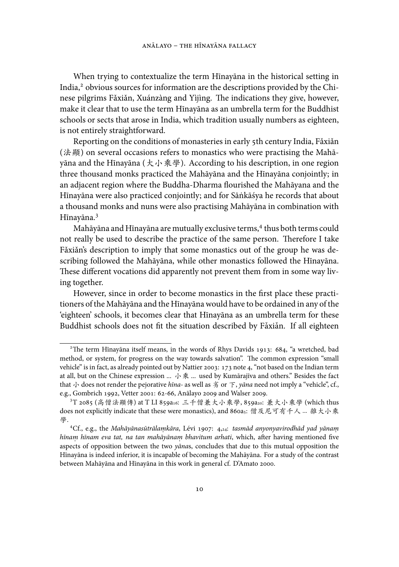When trying to contextualize the term Hīnayāna in the historical setting in India,<sup>2</sup> obvious sources for information are the descriptions provided by the Chinese pilgrims Fǎxiǎn, Xuánzàng and Yìjìng. The indications they give, however, make it clear that to use the term Hīnayāna as an umbrella term for the Buddhist schools or sects that arose in India, which tradition usually numbers as eighteen, is not entirely straightforward.

Reporting on the conditions of monasteries in early 5th century India, Făxiăn (法顯) on several occasions refers to monastics who were practising the Mahāyāna and the Hīnayāna ( $\star \ \psi$ 乘學). According to his description, in one region three thousand monks practiced the Mahāyāna and the Hīnayāna conjointly; in an adjacent region where the Buddha-Dharma flourished the Mahāyana and the Hīnayāna were also practiced conjointly; and for Sānkāśya he records that about ˙ a thousand monks and nuns were also practising Mahāyāna in combination with Hīnayāna.

Mahāyāna and Hīnayāna are mutually exclusive terms, thus both terms could not really be used to describe the practice of the same person. Therefore I take Făxiăn's description to imply that some monastics out of the group he was describing followed the Mahāyāna, while other monastics followed the Hīnayāna. These different vocations did apparently not prevent them from in some way living together.

However, since in order to become monastics in the first place these practitioners of the Mahāyāna and the Hīnayāna would have to be ordained in any of the 'eighteen' schools, it becomes clear that Hīnayāna as an umbrella term for these Buddhist schools does not fit the situation described by Fǎxiǎn. If all eighteen

<sup>&</sup>lt;sup>2</sup>The term Hīnayāna itself means, in the words of Rhys Davids 1913:  $684$ , "a wretched, bad method, or system, for progress on the way towards salvation". The common expression "small vehicle" is in fact, as already pointed out by Nattier 2003: 173 note 4, "not based on the Indian term at all, but on the Chinese expression ... 小乘 ... used by Kumārajīva and others." Besides the fact that 小 does not render the pejorative *hīna-* as well as 劣 or 下, *yāna* need not imply a "vehicle", cf., e.g., Gombrich 1992, Vetter 2001: 62-66, Anālayo 2009 and Walser 2009.

<sup>3</sup>T 2085 (高僧法顯傳) at T LI 859a16: 三千僧兼大小乘學, 859a20: 兼大小乘學 (which thus does not explicitly indicate that these were monastics), and 860a5: 僧及尼可有千人 ... 雜大小乘 學.

Cf., e.g., the *Mahāyānasūtrālamkāra .* , Lévi : ,: *tasmād anyonyavirodhād yad yānam. hīnam hīnam eva tat, na tan mahāyānam bhavitum arhati,* which, after having mentioned five aspects of opposition between the two *yāna*s, concludes that due to this mutual opposition the Hīnayāna is indeed inferior, it is incapable of becoming the Mahāyāna. For a study of the contrast between Mahāyāna and Hīnayāna in this work in general cf. D'Amato 2000.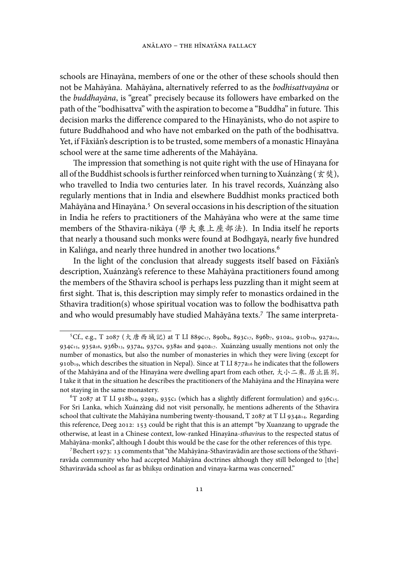schools are Hīnayāna, members of one or the other of these schools should then not be Mahāyāna. Mahāyāna, alternatively referred to as the *bodhisattvayāna* or the *buddhayāna*, is "great" precisely because its followers have embarked on the path of the "bodhisattva" with the aspiration to become a "Buddha" in future. This decision marks the difference compared to the Hīnayānists, who do not aspire to future Buddhahood and who have not embarked on the path of the bodhisattva. Yet, if Fǎxiǎn's description is to be trusted, some members of a monastic Hīnayāna school were at the same time adherents of the Mahāyāna.

The impression that something is not quite right with the use of Hinayana for all of the Buddhist schools is further reinforced when turning to Xuánzàng (玄奘), who travelled to India two centuries later. In his travel records, Xuánzàng also regularly mentions that in India and elsewhere Buddhist monks practiced both Mahāyāna and Hīnayāna.<sup>5</sup> On several occasions in his description of the situation in India he refers to practitioners of the Mahāyāna who were at the same time members of the Sthavira-nikāya (學大乘上座部法). In India itself he reports that nearly a thousand such monks were found at Bodhgayā, nearly five hundred in Kalinga, and nearly three hundred in another two locations. $\mathbf{^6}$ 

In the light of the conclusion that already suggests itself based on Fǎxiǎn's description, Xuánzàng's reference to these Mahāyāna practitioners found among the members of the Sthavira school is perhaps less puzzling than it might seem at first sight. That is, this description may simply refer to monastics ordained in the Sthavira tradition(s) whose spiritual vocation was to follow the bodhisattva path and who would presumably have studied Mahāyāna texts.<sup>7</sup> The same interpreta-

<sup>&</sup>lt;sup>5</sup>Cf., e.g., T 2087 (大唐西域記) at T LI 889c17, 890b4, 893c17, 896b7, 910a5, 910b19, 927a22, 934 $c_1$ , 935 $a_2$ , 936 $b_1$ , 937 $a_4$ , 937 $c_8$ , 938 $a_6$  and 940 $a_1$ . Xuánzàng usually mentions not only the number of monastics, but also the number of monasteries in which they were living (except for 910b<sub>19</sub>, which describes the situation in Nepal). Since at T LI 877 $a<sub>16</sub>$  he indicates that the followers of the Mahāyāna and of the Hīnayāna were dwelling apart from each other, 大小二乘, 居止區別, I take it that in the situation he describes the practitioners of the Mahāyāna and the Hīnayāna were not staying in the same monastery.

 ${}^6T$  2087 at T LI 918b<sub>14</sub>, 929a<sub>3</sub>, 935c<sub>2</sub> (which has a slightly different formulation) and 936c15. For Sri Lanka, which Xuánzàng did not visit personally, he mentions adherents of the Sthavira school that cultivate the Mahāyāna numbering twenty-thousand,  $T$  2087 at T LI 934a14. Regarding this reference, Deeg 2012: 153 could be right that this is an attempt "by Xuanzang to upgrade the otherwise, at least in a Chinese context, low-ranked Hīnayāna-*sthavira*s to the respected status of Mahāyāna-monks", although I doubt this would be the case for the other references of this type.

 $^7$ Bechert 1973: 13 comments that "the Mahāyāna-Sthaviravādin are those sections of the Sthaviravāda community who had accepted Mahāyāna doctrines although they still belonged to [the] Sthaviravāda school as far as bhikṣu ordination and vinaya-karma was concerned."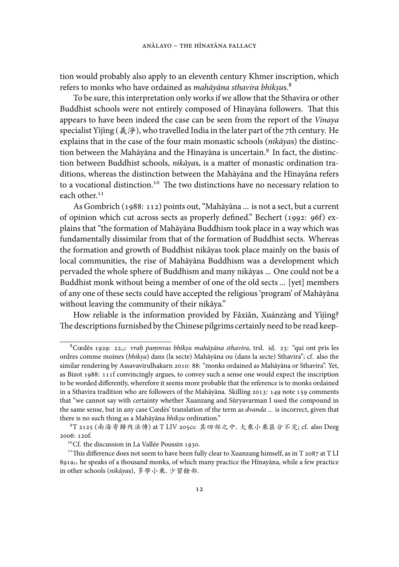tion would probably also apply to an eleventh century Khmer inscription, which refers to monks who have ordained as *mahāyāna sthavira bhik. su*s.

To be sure, this interpretation only works if we allow that the Sthavira or other Buddhist schools were not entirely composed of Hīnayāna followers. That this appears to have been indeed the case can be seen from the report of the *Vinaya* specialist Yìjìng (義淨), who travelled India in the later part of the 7th century. He explains that in the case of the four main monastic schools (*nikāya*s) the distinction between the Mahāyāna and the Hīnayāna is uncertain.<sup>9</sup> In fact, the distinction between Buddhist schools, *nikāya*s, is a matter of monastic ordination traditions, whereas the distinction between the Mahāyāna and the Hīnayāna refers to a vocational distinction.<sup>10</sup> The two distinctions have no necessary relation to each other.<sup>11</sup>

As Gombrich (1988: 112) points out, "Mahāyāna ... is not a sect, but a current of opinion which cut across sects as properly defined." Bechert (1992: 96f) explains that "the formation of Mahāyāna Buddhism took place in a way which was fundamentally dissimilar from that of the formation of Buddhist sects. Whereas the formation and growth of Buddhist nikāyas took place mainly on the basis of local communities, the rise of Mahāyāna Buddhism was a development which pervaded the whole sphere of Buddhism and many nikāyas ... One could not be a Buddhist monk without being a member of one of the old sects ... [yet] members of any one of these sects could have accepted the religious 'program' of Mahāyāna without leaving the community of their nikāya."

How reliable is the information provided by Fǎxiǎn, Xuánzàng and Yìjìng? The descriptions furnished by the Chinese pilgrims certainly need to be read keep-

 ${}^8$ Cœdès 1929: 22,3: *vraḥ paṃnvas bhikṣu mahāyāna sthavira*, trsl. id. 23: "qui ont pris les ordres comme moines (*bhik. su*) dans (la secte) Mahāyāna ou (dans la secte) Sthavira"; cf. also the similar rendering by Assavavirulhakarn 2010: 88: "monks ordained as Mahāyāna or Sthavira". Yet, as Bizot 1988: 111f convincingly argues, to convey such a sense one would expect the inscription to be worded differently, wherefore it seems more probable that the reference is to monks ordained in a Sthavira tradition who are followers of the Mahāyāna. Skilling 2013: 149 note 159 comments that "we cannot say with certainty whether Xuanzang and Sūryavarman I used the compound in the same sense, but in any case Cœdès' translation of the term as *dvanda* ... is incorrect, given that there is no such thing as a Mahāyāna *bhikṣu* ordination."

<sup>&</sup>lt;sup>9</sup>T 2125 (南海寄歸內法傳) at T LIV 205cs: 其四部之中, 大乘小乘區分不定; cf. also Deeg 2006: 120f.

 $\rm ^{10}Cf.$  the discussion in La Vallée Poussin 1930.

<sup>&</sup>lt;sup>11</sup>This difference does not seem to have been fully clear to Xuanzang himself, as in T 2087 at T LI a he speaks of a thousand monks, of which many practice the Hīnayāna, while a few practice in other schools (*nikāya*s), 多學小乘, 少習餘部.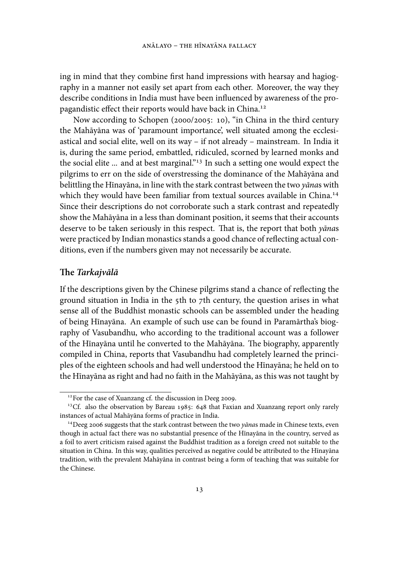ing in mind that they combine first hand impressions with hearsay and hagiography in a manner not easily set apart from each other. Moreover, the way they describe conditions in India must have been influenced by awareness of the propagandistic effect their reports would have back in China.

Now according to Schopen (2000/2005: 10), "in China in the third century the Mahāyāna was of 'paramount importance', well situated among the ecclesiastical and social elite, well on its way – if not already – mainstream. In India it is, during the same period, embattled, ridiculed, scorned by learned monks and the social elite ... and at best marginal." In such a setting one would expect the pilgrims to err on the side of overstressing the dominance of the Mahāyāna and belittling the Hīnayāna, in line with the stark contrast between the two *yāna*s with which they would have been familiar from textual sources available in China.<sup>14</sup> Since their descriptions do not corroborate such a stark contrast and repeatedly show the Mahāyāna in a less than dominant position, it seems that their accounts deserve to be taken seriously in this respect. That is, the report that both *yānas* were practiced by Indian monastics stands a good chance of reflecting actual conditions, even if the numbers given may not necessarily be accurate.

#### **e** *Tarkajvālā*

If the descriptions given by the Chinese pilgrims stand a chance of reflecting the ground situation in India in the  $5$ th to  $7$ th century, the question arises in what sense all of the Buddhist monastic schools can be assembled under the heading of being Hīnayāna. An example of such use can be found in Paramārtha's biography of Vasubandhu, who according to the traditional account was a follower of the Hīnayāna until he converted to the Mahāyāna. The biography, apparently compiled in China, reports that Vasubandhu had completely learned the principles of the eighteen schools and had well understood the Hīnayāna; he held on to the Hīnayāna as right and had no faith in the Mahāyāna, as this was not taught by

<sup>&</sup>lt;sup>12</sup> For the case of Xuanzang cf. the discussion in Deeg 2009.

<sup>&</sup>lt;sup>13</sup>Cf. also the observation by Bareau 1985: 648 that Faxian and Xuanzang report only rarely instances of actual Mahāyāna forms of practice in India.

<sup>&</sup>lt;sup>14</sup> Deeg 2006 suggests that the stark contrast between the two *yānas* made in Chinese texts, even though in actual fact there was no substantial presence of the Hīnayāna in the country, served as a foil to avert criticism raised against the Buddhist tradition as a foreign creed not suitable to the situation in China. In this way, qualities perceived as negative could be attributed to the Hīnayāna tradition, with the prevalent Mahāyāna in contrast being a form of teaching that was suitable for the Chinese.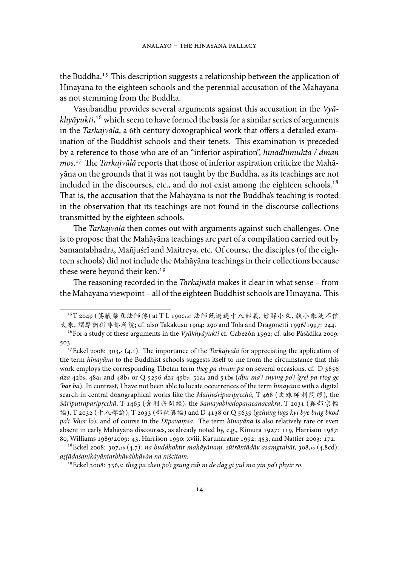the Buddha.<sup>15</sup> This description suggests a relationship between the application of Hīnayāna to the eighteen schools and the perennial accusation of the Mahāyāna as not stemming from the Buddha.

Vasubandhu provides several arguments against this accusation in the *Vyā*khyāyukti,<sup>16</sup> which seem to have formed the basis for a similar series of arguments in the *Tarkajvālā*, a 6th century doxographical work that offers a detailed examination of the Buddhist schools and their tenets. This examination is preceded by a reference to those who are of an "inferior aspiration", *hīnādhimukta / dman* mos.<sup>17</sup> The *Tarkajvālā* reports that those of inferior aspiration criticize the Mahāyāna on the grounds that it was not taught by the Buddha, as its teachings are not included in the discourses, etc., and do not exist among the eighteen schools.<sup>18</sup> That is, the accusation that the Mahāyāna is not the Buddha's teaching is rooted in the observation that its teachings are not found in the discourse collections transmitted by the eighteen schools.

e *Tarkajvālā* then comes out with arguments against such challenges. One is to propose that the Mahāyāna teachings are part of a compilation carried out by Samantabhadra, Mañjuśrī and Maitreya, etc. Of course, the disciples (of the eighteen schools) did not include the Mahāyāna teachings in their collections because these were beyond their ken.

The reasoning recorded in the *Tarkajvālā* makes it clear in what sense – from the Mahāyāna viewpoint – all of the eighteen Buddhist schools are Hīnayāna. This

<sup>15</sup>T 2049 (婆藪槃豆法師傳) at T L 190C12: 法師既遍通十八部義, 妙解小乘, 執小乘是不信 大乘, 謂摩訶衍非佛所說; cf. also Takakusu 1904: 290 and Tola and Dragonetti 1996/1997: 244.

<sup>&</sup>lt;sup>16</sup> For a study of these arguments in the *Vyākhyāyukti* cf. Cabezón 1992; cf. also Pāsādika 2009: 503.

<sup>&</sup>lt;sup>17</sup> Eckel 2008: 303,8 (4.1). The importance of the *Tarkajvālā* for appreciating the application of the term *hīnayāna* to the Buddhist schools suggests itself to me from the circumstance that this work employs the corresponding Tibetan term *theg pa dman pa* on several occasions, cf. D dza 42b6, 48a1 and 48b3 or Q 5256 dza 45b7, 51a4 and 51b8 (dbu ma'i snying po'i 'grel pa rtog ge *'bar ba*). In contrast, I have not been able to locate occurrences of the term *hīnayāna* with a digital search in central doxographical works like the *Mañjuśrīparipr.cchā*, T 468 (文殊師利問經), the  $\acute{S}$ *āriputraparipr* $c$ *chā*, T 1465 (舍利弗問經), the *Samayabhedoparacanacakra*, T 2031 (異部宗輪 論), T 2032 (十八部論), T 2033 (部執異論) and D 4138 or Q 5639 (gzhung lugs kyi bye brag bkod *pa'i 'khor lo*), and of course in the *Dīpavamsa .* . e term *hīnayāna* is also relatively rare or even absent in early Mahāyāna discourses, as already noted by, e.g., Kimura 1927: 119, Harrison 1987: 80, Williams 1989/2009: 43, Harrison 1990: xviii, Karunaratne 1992: 453, and Nattier 2003: 172.

<sup>&</sup>lt;sup>18</sup>Eckel 2008: 307,28 (4.7): *na buddhoktir mahāyānam, sūtrāntādāv asamgrahāt,* 308,<sub>30</sub> (4.8cd): *a. s. tādaśanikāyāntarbhāvābhāvān na niścitam*.

<sup>&</sup>lt;sup>19</sup> Eckel 2008: 336,s: theg pa chen po'i gsung rab ni de dag gi yul ma yin pa'i phyir ro.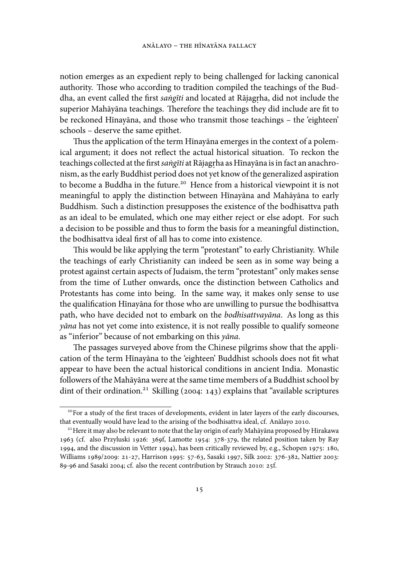notion emerges as an expedient reply to being challenged for lacking canonical authority. Those who according to tradition compiled the teachings of the Buddha, an event called the first *saṅgīti* and located at Rājagṛha, did not include the superior Mahāyāna teachings. Therefore the teachings they did include are fit to be reckoned Hīnayāna, and those who transmit those teachings – the 'eighteen' schools – deserve the same epithet.

Thus the application of the term Hīnayāna emerges in the context of a polemical argument; it does not reflect the actual historical situation. To reckon the teachings collected at the first *saṅgīti* at Rājagṛha as Hīnayāna is in fact an anachronism, as the early Buddhist period does not yet know of the generalized aspiration to become a Buddha in the future.<sup>20</sup> Hence from a historical viewpoint it is not meaningful to apply the distinction between Hīnayāna and Mahāyāna to early Buddhism. Such a distinction presupposes the existence of the bodhisattva path as an ideal to be emulated, which one may either reject or else adopt. For such a decision to be possible and thus to form the basis for a meaningful distinction, the bodhisattva ideal first of all has to come into existence.

This would be like applying the term "protestant" to early Christianity. While the teachings of early Christianity can indeed be seen as in some way being a protest against certain aspects of Judaism, the term "protestant" only makes sense from the time of Luther onwards, once the distinction between Catholics and Protestants has come into being. In the same way, it makes only sense to use the qualification Hīnayāna for those who are unwilling to pursue the bodhisattva path, who have decided not to embark on the *bodhisattvayāna*. As long as this *yāna* has not yet come into existence, it is not really possible to qualify someone as "inferior" because of not embarking on this *yāna*.

The passages surveyed above from the Chinese pilgrims show that the application of the term Hīnayāna to the 'eighteen' Buddhist schools does not fit what appear to have been the actual historical conditions in ancient India. Monastic followers of the Mahāyāna were at the same time members of a Buddhist school by dint of their ordination.<sup>21</sup> Skilling (2004: 143) explains that "available scriptures

<sup>&</sup>lt;sup>20</sup> For a study of the first traces of developments, evident in later layers of the early discourses, that eventually would have lead to the arising of the bodhisattva ideal, cf. Anālayo 2010.

<sup>&</sup>lt;sup>21</sup> Here it may also be relevant to note that the lay origin of early Mahāyāna proposed by Hirakawa 1963 (cf. also Przyluski 1926:  $369f$ , Lamotte 1954:  $378-379$ , the related position taken by Ray 1994, and the discussion in Vetter 1994), has been critically reviewed by, e.g., Schopen 1975: 180, Williams 1989/2009: 21-27, Harrison 1995: 57-63, Sasaki 1997, Silk 2002: 376-382, Nattier 2003: 89-96 and Sasaki 2004; cf. also the recent contribution by Strauch 2010: 25f.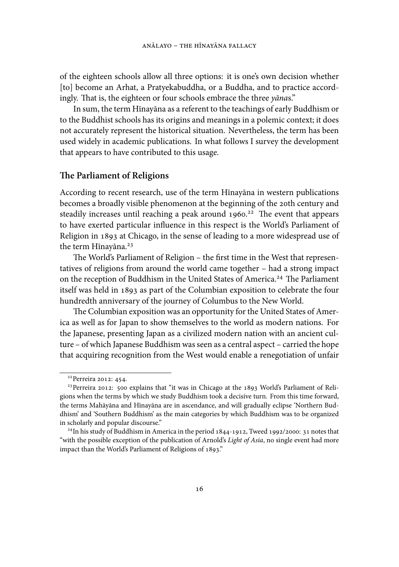of the eighteen schools allow all three options: it is one's own decision whether [to] become an Arhat, a Pratyekabuddha, or a Buddha, and to practice accordingly. That is, the eighteen or four schools embrace the three *yānas*."

In sum, the term Hīnayāna as a referent to the teachings of early Buddhism or to the Buddhist schools has its origins and meanings in a polemic context; it does not accurately represent the historical situation. Nevertheless, the term has been used widely in academic publications. In what follows I survey the development that appears to have contributed to this usage.

#### **e Parliament of Religions**

According to recent research, use of the term Hīnayāna in western publications becomes a broadly visible phenomenon at the beginning of the 20th century and steadily increases until reaching a peak around  $1960.<sup>22</sup>$  The event that appears to have exerted particular influence in this respect is the World's Parliament of Religion in 1893 at Chicago, in the sense of leading to a more widespread use of the term Hīnayāna.

The World's Parliament of Religion – the first time in the West that representatives of religions from around the world came together – had a strong impact on the reception of Buddhism in the United States of America.<sup>24</sup> The Parliament itself was held in 1893 as part of the Columbian exposition to celebrate the four hundredth anniversary of the journey of Columbus to the New World.

The Columbian exposition was an opportunity for the United States of America as well as for Japan to show themselves to the world as modern nations. For the Japanese, presenting Japan as a civilized modern nation with an ancient culture – of which Japanese Buddhism was seen as a central aspect – carried the hope that acquiring recognition from the West would enable a renegotiation of unfair

 $22$ Perreira 2012: 454.

<sup>&</sup>lt;sup>23</sup> Perreira 2012: 500 explains that "it was in Chicago at the  $1893$  World's Parliament of Religions when the terms by which we study Buddhism took a decisive turn. From this time forward, the terms Mahāyāna and Hīnayāna are in ascendance, and will gradually eclipse 'Northern Buddhism' and 'Southern Buddhism' as the main categories by which Buddhism was to be organized in scholarly and popular discourse."

 $24$ In his study of Buddhism in America in the period 1844-1912, Tweed 1992/2000: 31 notes that "with the possible exception of the publication of Arnold's *Light of Asia*, no single event had more impact than the World's Parliament of Religions of 1893."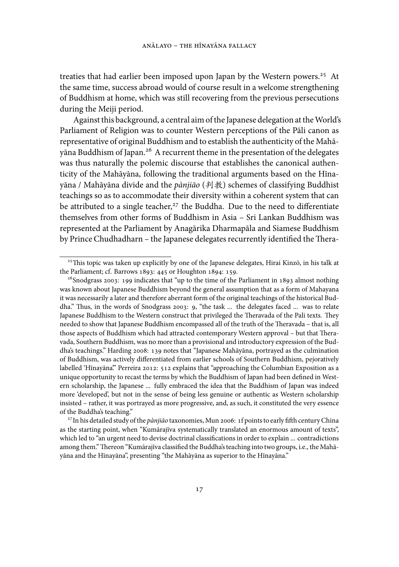treaties that had earlier been imposed upon Japan by the Western powers.<sup>25</sup> At the same time, success abroad would of course result in a welcome strengthening of Buddhism at home, which was still recovering from the previous persecutions during the Meiji period.

Against this background, a central aim of the Japanese delegation at theWorld's Parliament of Religion was to counter Western perceptions of the Pāli canon as representative of original Buddhism and to establish the authenticity of the Mahāyāna Buddhism of Japan.<sup>26</sup> A recurrent theme in the presentation of the delegates was thus naturally the polemic discourse that establishes the canonical authenticity of the Mahāyāna, following the traditional arguments based on the Hīnayāna / Mahāyāna divide and the *pànjiāo* (判教) schemes of classifying Buddhist teachings so as to accommodate their diversity within a coherent system that can be attributed to a single teacher, $27$  the Buddha. Due to the need to differentiate themselves from other forms of Buddhism in Asia – Sri Lankan Buddhism was represented at the Parliament by Anagārika Dharmapāla and Siamese Buddhism by Prince Chudhadharn - the Japanese delegates recurrently identified the Thera-

<sup>&</sup>lt;sup>25</sup>This topic was taken up explicitly by one of the Japanese delegates, Hirai Kinzō, in his talk at the Parliament; cf. Barrows  $1893: 445$  or Houghton  $1894: 159$ .

 $26$ Snodgrass 2003: 199 indicates that "up to the time of the Parliament in 1893 almost nothing was known about Japanese Buddhism beyond the general assumption that as a form of Mahayana it was necessarily a later and therefore aberrant form of the original teachings of the historical Buddha." Thus, in the words of Snodgrass 2003: 9, "the task ... the delegates faced ... was to relate Japanese Buddhism to the Western construct that privileged the Theravada of the Pali texts. They needed to show that Japanese Buddhism encompassed all of the truth of the Theravada - that is, all those aspects of Buddhism which had attracted contemporary Western approval - but that Theravada, Southern Buddhism, was no more than a provisional and introductory expression of the Buddha's teachings." Harding 2008: 139 notes that "Japanese Mahāyāna, portrayed as the culmination of Buddhism, was actively differentiated from earlier schools of Southern Buddhism, pejoratively labelled 'Hīnayāna." Perreira 2012: 512 explains that "approaching the Columbian Exposition as a unique opportunity to recast the terms by which the Buddhism of Japan had been defined in Western scholarship, the Japanese ... fully embraced the idea that the Buddhism of Japan was indeed more 'developed', but not in the sense of being less genuine or authentic as Western scholarship insisted – rather, it was portrayed as more progressive, and, as such, it constituted the very essence of the Buddha's teaching."

<sup>&</sup>lt;sup>27</sup> In his detailed study of the *pànjiāo* taxonomies, Mun 2006: 1f points to early fifth century China as the starting point, when "Kumārajīva systematically translated an enormous amount of texts", which led to "an urgent need to devise doctrinal classifications in order to explain ... contradictions among them." Thereon "Kumārajīva classified the Buddha's teaching into two groups, i.e., the Mahāyāna and the Hīnayāna", presenting "the Mahāyāna as superior to the Hīnayāna."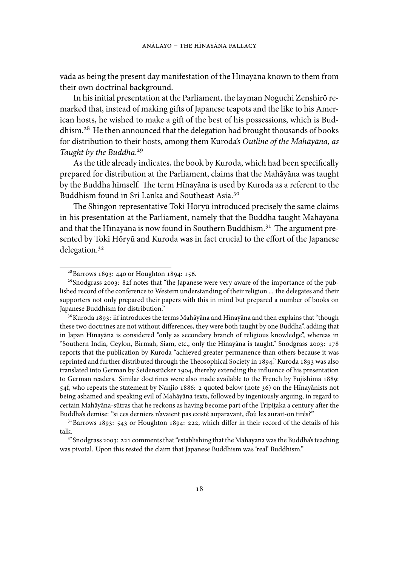vāda as being the present day manifestation of the Hīnayāna known to them from their own doctrinal background.

In his initial presentation at the Parliament, the layman Noguchi Zenshirō remarked that, instead of making gifts of Japanese teapots and the like to his American hosts, he wished to make a gift of the best of his possessions, which is Buddhism.<sup>28</sup> He then announced that the delegation had brought thousands of books for distribution to their hosts, among them Kuroda's *Outline of the Mahāyāna, as Taught by the Buddha*.

As the title already indicates, the book by Kuroda, which had been specifically prepared for distribution at the Parliament, claims that the Mahāyāna was taught by the Buddha himself. The term Hīnayāna is used by Kuroda as a referent to the Buddhism found in Sri Lanka and Southeast Asia.

The Shingon representative Toki Hōryū introduced precisely the same claims in his presentation at the Parliament, namely that the Buddha taught Mahāyāna and that the Hīnayāna is now found in Southern Buddhism.<sup>31</sup> The argument presented by Toki Hōryū and Kuroda was in fact crucial to the effort of the Japanese delegation.

 $30$ Kuroda 1893: iif introduces the terms Mahāyāna and Hīnayāna and then explains that "though these two doctrines are not without differences, they were both taught by one Buddha", adding that in Japan Hīnayāna is considered "only as secondary branch of religious knowledge", whereas in "Southern India, Ceylon, Birmah, Siam, etc., only the Hînayâna is taught." Snodgrass : reports that the publication by Kuroda "achieved greater permanence than others because it was reprinted and further distributed through the Theosophical Society in 1894." Kuroda 1893 was also translated into German by Seidenstücker 1904, thereby extending the influence of his presentation to German readers. Similar doctrines were also made available to the French by Fujishima :  $54f$ , who repeats the statement by Nanjio  $1886: 2$  quoted below (note  $36$ ) on the Hīnayānists not being ashamed and speaking evil of Mahāyāna texts, followed by ingeniously arguing, in regard to certain Mahāyāna-sūtras that he reckons as having become part of the Tripiṭaka a century after the Buddha's demise: "si ces derniers n'avaient pas existé auparavant, d'où les aurait-on tirés?"

 $28$ Barrows 1893: 440 or Houghton 1894: 156.

<sup>&</sup>lt;sup>29</sup>Snodgrass 2003: 82f notes that "the Japanese were very aware of the importance of the published record of the conference to Western understanding of their religion ... the delegates and their supporters not only prepared their papers with this in mind but prepared a number of books on Japanese Buddhism for distribution."

 $31$ Barrows 1893: 543 or Houghton 1894: 222, which differ in their record of the details of his talk.

 $32$ Snodgrass 2003: 221 comments that "establishing that the Mahayana was the Buddha's teaching was pivotal. Upon this rested the claim that Japanese Buddhism was 'real' Buddhism."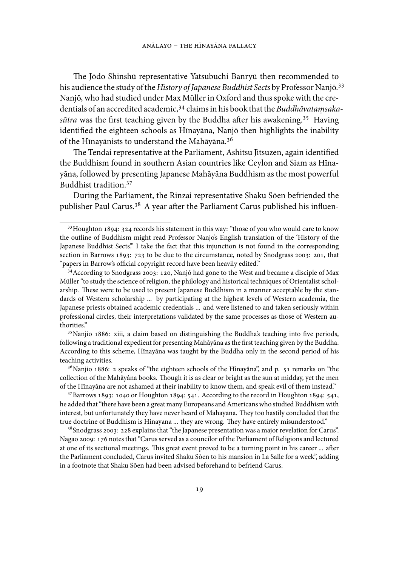The Jōdo Shinshū representative Yatsubuchi Banryū then recommended to his audience the study of the *History of Japanese Buddhist Sects* by Professor Nanjō. Nanjō, who had studied under Max Müller in Oxford and thus spoke with the credentials of an accredited academic,<sup>34</sup> claims in his book that the *Buddhāvatamsaka*sūtra was the first teaching given by the Buddha after his awakening.<sup>35</sup> Having identified the eighteen schools as Hīnayāna, Nanjō then highlights the inability of the Hīnayānists to understand the Mahāyāna.

The Tendai representative at the Parliament, Ashitsu Jitsuzen, again identified the Buddhism found in southern Asian countries like Ceylon and Siam as Hīnayāna, followed by presenting Japanese Mahāyāna Buddhism as the most powerful Buddhist tradition.

During the Parliament, the Rinzai representative Shaku Sōen befriended the publisher Paul Carus.<sup>38</sup> A year after the Parliament Carus published his influen-

 $35$  Nanjio 1886: xiii, a claim based on distinguishing the Buddha's teaching into five periods, following a traditional expedient for presenting Mahāyāna as the first teaching given by the Buddha. According to this scheme, Hīnayāna was taught by the Buddha only in the second period of his teaching activities.

<sup>36</sup> Nanjio 1886: 2 speaks of "the eighteen schools of the Hînayâna", and p. 51 remarks on "the collection of the Mahâyâna books. Though it is as clear or bright as the sun at midday, yet the men of the Hînayâna are not ashamed at their inability to know them, and speak evil of them instead."

 $37$  Barrows 1893: 1040 or Houghton 1894: 541. According to the record in Houghton 1894: 541, he added that "there have been a great many Europeans and Americans who studied Buddhism with interest, but unfortunately they have never heard of Mahayana. They too hastily concluded that the true doctrine of Buddhism is Hinayana ... they are wrong. They have entirely misunderstood."

 $38$  Snodgrass 2003: 228 explains that "the Japanese presentation was a major revelation for Carus". Nagao 2009: 176 notes that "Carus served as a councilor of the Parliament of Religions and lectured at one of its sectional meetings. This great event proved to be a turning point in his career ... after the Parliament concluded, Carus invited Shaku Sōen to his mansion in La Salle for a week", adding in a footnote that Shaku Sōen had been advised beforehand to befriend Carus.

 $33$  Houghton 1894:  $324$  records his statement in this way: "those of you who would care to know the outline of Buddhism might read Professor Nanjo's English translation of the 'History of the Japanese Buddhist Sects." I take the fact that this injunction is not found in the corresponding section in Barrows  $1893$ :  $723$  to be due to the circumstance, noted by Snodgrass 2003: 201, that "papers in Barrow's official copyright record have been heavily edited."

<sup>&</sup>lt;sup>34</sup> According to Snodgrass 2003: 120, Nanjō had gone to the West and became a disciple of Max Müller "to study the science of religion, the philology and historical techniques of Orientalist scholarship. These were to be used to present Japanese Buddhism in a manner acceptable by the standards of Western scholarship ... by participating at the highest levels of Western academia, the Japanese priests obtained academic credentials ... and were listened to and taken seriously within professional circles, their interpretations validated by the same processes as those of Western authorities."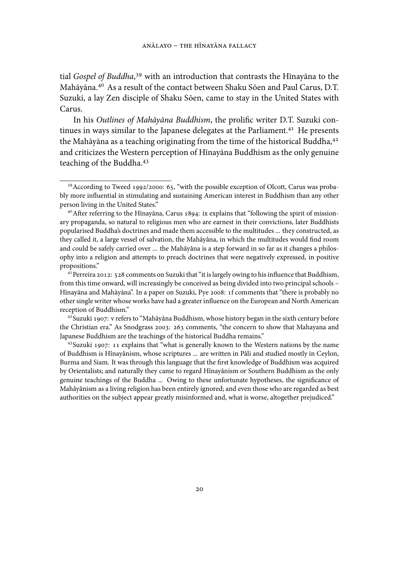tial *Gospel of Buddha*,<sup>39</sup> with an introduction that contrasts the Hīnayāna to the Mahāyāna.<sup>40</sup> As a result of the contact between Shaku Sōen and Paul Carus, D.T. Suzuki, a lay Zen disciple of Shaku Sōen, came to stay in the United States with Carus.

In his *Outlines of Mahāyāna Buddhism*, the prolific writer D.T. Suzuki continues in ways similar to the Japanese delegates at the Parliament.<sup>41</sup> He presents the Mahāyāna as a teaching originating from the time of the historical Buddha, $4^2$ and criticizes the Western perception of Hīnayāna Buddhism as the only genuine teaching of the Buddha.

 $39$  According to Tweed 1992/2000: 65, "with the possible exception of Olcott, Carus was probably more influential in stimulating and sustaining American interest in Buddhism than any other person living in the United States."

<sup>&</sup>lt;sup>40</sup> After referring to the Hīnayāna, Carus 1894: ix explains that "following the spirit of missionary propaganda, so natural to religious men who are earnest in their convictions, later Buddhists popularised Buddha's doctrines and made them accessible to the multitudes ... they constructed, as they called it, a large vessel of salvation, the Mahâyâna, in which the multitudes would find room and could be safely carried over ... the Mahâyâna is a step forward in so far as it changes a philosophy into a religion and attempts to preach doctrines that were negatively expressed, in positive propositions."

<sup>&</sup>lt;sup>41</sup> Perreira 2012: 528 comments on Suzuki that "it is largely owing to his influence that Buddhism, from this time onward, will increasingly be conceived as being divided into two principal schools – Hīnayāna and Mahāyāna". In a paper on Suzuki, Pye 2008: 1f comments that "there is probably no other single writer whose works have had a greater influence on the European and North American reception of Buddhism."

<sup>&</sup>lt;sup>42</sup> Suzuki 1907: v refers to "Mahâyâna Buddhism, whose history began in the sixth century before the Christian era." As Snodgrass 2003: 263 comments, "the concern to show that Mahayana and Japanese Buddhism are the teachings of the historical Buddha remains."

 $43$  Suzuki 1907: 11 explains that "what is generally known to the Western nations by the name of Buddhism is Hînayânism, whose scriptures ... are written in Pâli and studied mostly in Ceylon, Burma and Siam. It was through this language that the first knowledge of Buddhism was acquired by Orientalists; and naturally they came to regard Hînayânism or Southern Buddhism as the only genuine teachings of the Buddha ... Owing to these unfortunate hypotheses, the significance of Mahâyânism as a living religion has been entirely ignored; and even those who are regarded as best authorities on the subject appear greatly misinformed and, what is worse, altogether prejudiced."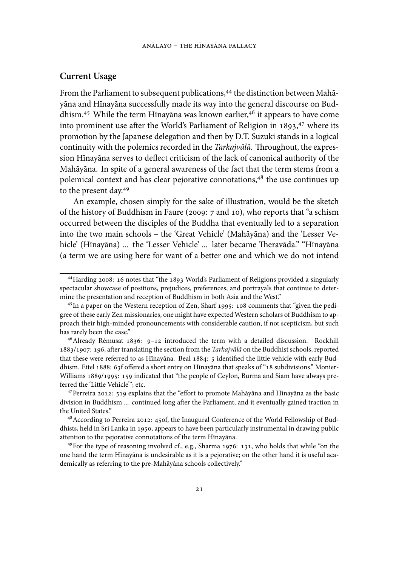### **Current Usage**

From the Parliament to subsequent publications,<sup>44</sup> the distinction between Mahāyāna and Hīnayāna successfully made its way into the general discourse on Buddhism.<sup>45</sup> While the term Hīnayāna was known earlier,<sup>46</sup> it appears to have come into prominent use after the World's Parliament of Religion in  $1893$ <sup>47</sup> where its promotion by the Japanese delegation and then by D.T. Suzuki stands in a logical continuity with the polemics recorded in the *Tarkajvālā*. Throughout, the expression Hīnayāna serves to deflect criticism of the lack of canonical authority of the Mahāyāna. In spite of a general awareness of the fact that the term stems from a polemical context and has clear pejorative connotations, $4^8$  the use continues up to the present day.

An example, chosen simply for the sake of illustration, would be the sketch of the history of Buddhism in Faure (2009: 7 and 10), who reports that "a schism occurred between the disciples of the Buddha that eventually led to a separation into the two main schools – the 'Great Vehicle' (Mahāyāna) and the 'Lesser Vehicle' (Hīnayāna) ... the 'Lesser Vehicle' ... later became Theravāda." "Hīnayāna (a term we are using here for want of a better one and which we do not intend

<sup>&</sup>lt;sup>44</sup> Harding 2008: 16 notes that "the 1893 World's Parliament of Religions provided a singularly spectacular showcase of positions, prejudices, preferences, and portrayals that continue to determine the presentation and reception of Buddhism in both Asia and the West."

 $45$  In a paper on the Western reception of Zen, Sharf 1995: 108 comments that "given the pedigree of these early Zen missionaries, one might have expected Western scholars of Buddhism to approach their high-minded pronouncements with considerable caution, if not scepticism, but such has rarely been the case."

 $46$ Already Rémusat 1836: 9-12 introduced the term with a detailed discussion. Rockhill 1883/1907: 196, after translating the section from the *Tarkajvālā* on the Buddhist schools, reported that these were referred to as Hīnayāna. Beal 1884: 5 identified the little vehicle with early Buddhism. Eitel 1888: 63f offered a short entry on Hīnayāna that speaks of "18 subdivisions." Monier-Williams 1889/1995: 159 indicated that "the people of Ceylon, Burma and Siam have always preferred the 'Little Vehicle'"; etc.

 $47$  Perreira 2012: 519 explains that the "effort to promote Mahāyāna and Hīnayāna as the basic division in Buddhism ... continued long after the Parliament, and it eventually gained traction in the United States."

<sup>&</sup>lt;sup>48</sup> According to Perreira 2012: 450f, the Inaugural Conference of the World Fellowship of Buddhists, held in Sri Lanka in 1950, appears to have been particularly instrumental in drawing public attention to the pejorative connotations of the term Hīnayāna.

<sup>&</sup>lt;sup>49</sup> For the type of reasoning involved cf., e.g., Sharma 1976: 131, who holds that while "on the one hand the term Hīnayāna is undesirable as it is a pejorative; on the other hand it is useful academically as referring to the pre-Mahāyāna schools collectively."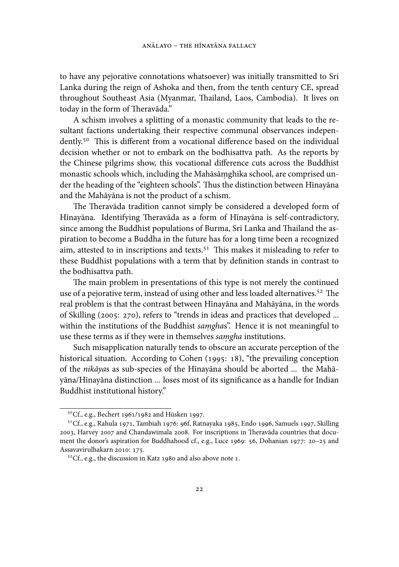to have any pejorative connotations whatsoever) was initially transmitted to Sri Lanka during the reign of Ashoka and then, from the tenth century CE, spread throughout Southeast Asia (Myanmar, Thailand, Laos, Cambodia). It lives on today in the form of Theravāda."

A schism involves a splitting of a monastic community that leads to the resultant factions undertaking their respective communal observances independently.<sup>50</sup> This is different from a vocational difference based on the individual decision whether or not to embark on the bodhisattva path. As the reports by the Chinese pilgrims show, this vocational difference cuts across the Buddhist monastic schools which, including the Mahāsāmghika school, are comprised un- . der the heading of the "eighteen schools". Thus the distinction between Hīnayāna and the Mahāyāna is not the product of a schism.

The Theravāda tradition cannot simply be considered a developed form of Hīnayāna. Identifying Theravāda as a form of Hīnayāna is self-contradictory, since among the Buddhist populations of Burma, Sri Lanka and Thailand the aspiration to become a Buddha in the future has for a long time been a recognized aim, attested to in inscriptions and texts.<sup>51</sup> This makes it misleading to refer to these Buddhist populations with a term that by definition stands in contrast to the bodhisattva path.

The main problem in presentations of this type is not merely the continued use of a pejorative term, instead of using other and less loaded alternatives.<sup>52</sup> The real problem is that the contrast between Hīnayāna and Mahāyāna, in the words of Skilling (2005: 270), refers to "trends in ideas and practices that developed ... within the institutions of the Buddhist *samgha*s". Hence it is not meaningful to use these terms as if they were in themselves *samgha* institutions.

Such misapplication naturally tends to obscure an accurate perception of the historical situation. According to Cohen (1995: 18), "the prevailing conception of the *nikāya*s as sub-species of the Hīnayāna should be aborted ... the Mahāyāna/Hīnayāna distinction ... loses most of its significance as a handle for Indian Buddhist institutional history."

 $5^{\circ}$ Cf., e.g., Bechert 1961/1982 and Hüsken 1997.

 $51^{\circ}$ Cf., e.g., Rahula 1971, Tambiah 1976: 96f, Ratnayaka 1985, Endo 1996, Samuels 1997, Skilling 2003, Harvey 2007 and Chandawimala 2008. For inscriptions in Theravāda countries that document the donor's aspiration for Buddhahood cf., e.g., Luce 1969: 56, Dohanian 1977: 20-25 and Assavavirulhakarn 2010: 175.

 $52^{\circ}$ Cf., e.g., the discussion in Katz 1980 and also above note 1.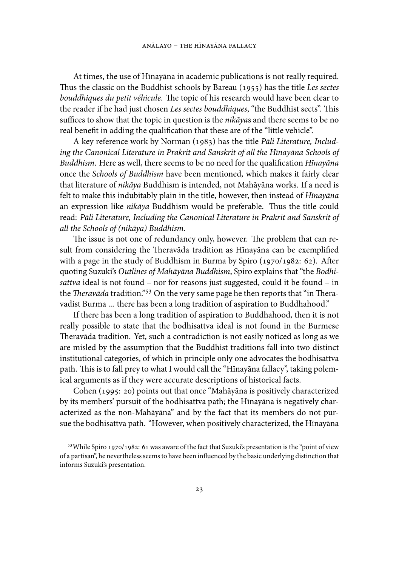At times, the use of Hīnayāna in academic publications is not really required. Thus the classic on the Buddhist schools by Bareau (1955) has the title *Les sectes bouddhiques du petit véhicule*. The topic of his research would have been clear to the reader if he had just chosen *Les sectes bouddhiques*, "the Buddhist sects". This suffices to show that the topic in question is the *nikāya*s and there seems to be no real benefit in adding the qualification that these are of the "little vehicle".

A key reference work by Norman (1983) has the title *Pāli Literature*, *Including the Canonical Literature in Prakrit and Sanskrit of all the Hīnayāna Schools of Buddhism*. Here as well, there seems to be no need for the qualification *Hīnayāna* once the *Schools of Buddhism* have been mentioned, which makes it fairly clear that literature of *nikāya* Buddhism is intended, not Mahāyāna works. If a need is felt to make this indubitably plain in the title, however, then instead of *Hīnayāna* an expression like *nikāya* Buddhism would be preferable. Thus the title could read: *Pāli Literature, Including the Canonical Literature in Prakrit and Sanskrit of all the Schools of (nikāya) Buddhism.*

The issue is not one of redundancy only, however. The problem that can result from considering the Theravāda tradition as Hīnayāna can be exemplified with a page in the study of Buddhism in Burma by Spiro (1970/1982: 62). After quoting Suzuki's *Outlines of Mahāyāna Buddhism*, Spiro explains that "the *Bodhisattva* ideal is not found – nor for reasons just suggested, could it be found – in the *Theravāda* tradition."<sup>53</sup> On the very same page he then reports that "in Theravadist Burma ... there has been a long tradition of aspiration to Buddhahood."

If there has been a long tradition of aspiration to Buddhahood, then it is not really possible to state that the bodhisattva ideal is not found in the Burmese Theravāda tradition. Yet, such a contradiction is not easily noticed as long as we are misled by the assumption that the Buddhist traditions fall into two distinct institutional categories, of which in principle only one advocates the bodhisattva path. This is to fall prey to what I would call the "Hīnayāna fallacy", taking polemical arguments as if they were accurate descriptions of historical facts.

Cohen (1995: 20) points out that once "Mahāyāna is positively characterized by its members' pursuit of the bodhisattva path; the Hīnayāna is negatively characterized as the non-Mahāyāna" and by the fact that its members do not pursue the bodhisattva path. "However, when positively characterized, the Hīnayāna

<sup>53</sup> While Spiro 1970/1982: 61 was aware of the fact that Suzuki's presentation is the "point of view of a partisan", he nevertheless seems to have been influenced by the basic underlying distinction that informs Suzuki's presentation.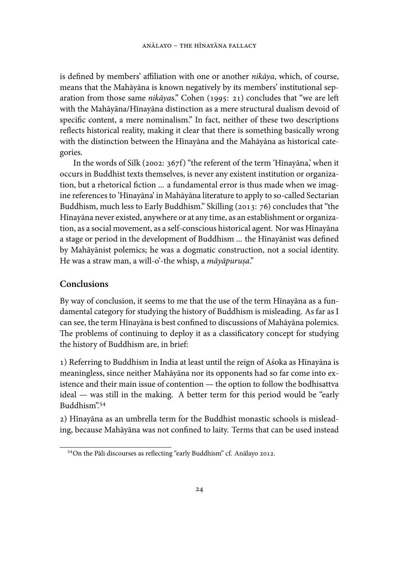is defined by members' affiliation with one or another *nikāya*, which, of course, means that the Mahāyāna is known negatively by its members' institutional separation from those same nikāyas." Cohen (1995: 21) concludes that "we are left with the Mahāyāna/Hīnayāna distinction as a mere structural dualism devoid of specific content, a mere nominalism." In fact, neither of these two descriptions reflects historical reality, making it clear that there is something basically wrong with the distinction between the Hīnayāna and the Mahāyāna as historical categories.

In the words of Silk (2002:  $367f$ ) "the referent of the term 'Hīnayāna,' when it occurs in Buddhist texts themselves, is never any existent institution or organization, but a rhetorical fiction ... a fundamental error is thus made when we imagine references to 'Hīnayāna' in Mahāyāna literature to apply to so-called Sectarian Buddhism, much less to Early Buddhism." Skilling (2013: 76) concludes that "the Hīnayāna never existed, anywhere or at any time, as an establishment or organization, as a social movement, as a self-conscious historical agent. Nor was Hīnayāna a stage or period in the development of Buddhism ... the Hīnayānist was defined by Mahāyānist polemics; he was a dogmatic construction, not a social identity. He was a straw man, a will-o'-the whisp, a *māyāpuru. sa*."

## **Conclusions**

By way of conclusion, it seems to me that the use of the term Hīnayāna as a fundamental category for studying the history of Buddhism is misleading. As far as I can see, the term Hīnayāna is best confined to discussions of Mahāyāna polemics. The problems of continuing to deploy it as a classificatory concept for studying the history of Buddhism are, in brief:

) Referring to Buddhism in India at least until the reign of Aśoka as Hīnayāna is meaningless, since neither Mahāyāna nor its opponents had so far come into existence and their main issue of contention — the option to follow the bodhisattva ideal — was still in the making. A better term for this period would be "early Buddhism".

) Hīnayāna as an umbrella term for the Buddhist monastic schools is misleading, because Mahāyāna was not confined to laity. Terms that can be used instead

<sup>&</sup>lt;sup>54</sup>On the Pāli discourses as reflecting "early Buddhism" cf. Anālayo 2012.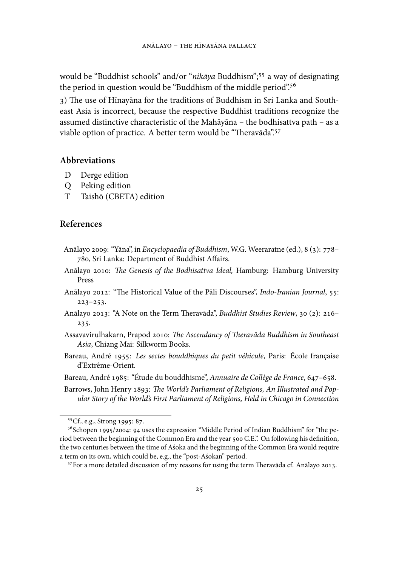would be "Buddhist schools" and/or "*nikāya* Buddhism";<sup>55</sup> a way of designating the period in question would be "Buddhism of the middle period".

3) The use of Hinayāna for the traditions of Buddhism in Sri Lanka and Southeast Asia is incorrect, because the respective Buddhist traditions recognize the assumed distinctive characteristic of the Mahāyāna – the bodhisattva path – as a viable option of practice. A better term would be "Theravāda".<sup>57</sup>

### **Abbreviations**

- D Derge edition
- Q Peking edition
- T Taishō (CBETA) edition

## **References**

- Anālayo 2009: "Yāna", in *Encyclopaedia of Buddhism*, W.G. Weeraratne (ed.), 8 (3): 778-780, Sri Lanka: Department of Buddhist Affairs.
- Anālayo 2010: *The Genesis of the Bodhisattva Ideal*, Hamburg: Hamburg University Press
- Anālayo 2012: "The Historical Value of the Pāli Discourses", *Indo-Iranian Journal*, 55:  $223 - 253.$
- Anālayo 2013: "A Note on the Term Theravāda", *Buddhist Studies Review*, 30 (2): 216-235.
- Assavavirulhakarn, Prapod 2010: *The Ascendancy of Theravāda Buddhism in Southeast Asia*, Chiang Mai: Silkworm Books.
- Bareau, André : *Les sectes bouddhiques du petit véhicule*, Paris: École française d'Extrême-Orient.
- Bareau, André 1985: "Étude du bouddhisme", *Annuaire de Collège de France*, 647-658.
- Barrows, John Henry 1893: The World's Parliament of Religions, An Illustrated and Pop*ular Story of the World's First Parliament of Religions, Held in Chicago in Connection*

<sup>&</sup>lt;sup>55</sup>Cf., e.g., Strong 1995: 87.

 $56$ Schopen 1995/2004: 94 uses the expression "Middle Period of Indian Buddhism" for "the period between the beginning of the Common Era and the year 500 C.E.". On following his definition, the two centuries between the time of Aśoka and the beginning of the Common Era would require a term on its own, which could be, e.g., the "post-Aśokan" period.

 $57$  For a more detailed discussion of my reasons for using the term Theravāda cf. Anālayo 2013.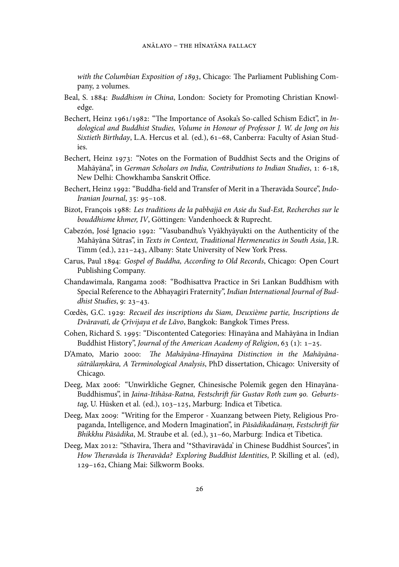*with the Columbian Exposition of 1893*, Chicago: The Parliament Publishing Company, 2 volumes.

- Beal, S. 1884: *Buddhism in China*, London: Society for Promoting Christian Knowledge.
- Bechert, Heinz 1961/1982: "The Importance of Asoka's So-called Schism Edict", in *Indological and Buddhist Studies, Volume in Honour of Professor J. W. de Jong on his* Sixtieth Birthday, L.A. Hercus et al. (ed.), 61-68, Canberra: Faculty of Asian Studies.
- Bechert, Heinz 1973: "Notes on the Formation of Buddhist Sects and the Origins of Mahāyāna", in *German Scholars on India, Contributions to Indian Studies*, 1: 6-18, New Delhi: Chowkhamba Sanskrit Office.
- Bechert, Heinz 1992: "Buddha-field and Transfer of Merit in a Theravāda Source", *Indo-Iranian Journal*, 35: 95-108.
- Bizot, François : *Les traditions de la pabbajjā en Asie du Sud-Est, Recherches sur le bouddhisme khmer, IV*, Göttingen: Vandenhoeck & Ruprecht.
- Cabezón, José Ignacio 1992: "Vasubandhu's Vyākhyāyukti on the Authenticity of the Mahāyāna Sūtras", in *Texts in Context, Traditional Hermeneutics in South Asia*, J.R. Timm (ed.), 221-243, Albany: State University of New York Press.
- Carus, Paul : *Gospel of Buddha, According to Old Records*, Chicago: Open Court Publishing Company.
- Chandawimala, Rangama 2008: "Bodhisattva Practice in Sri Lankan Buddhism with Special Reference to the Abhayagiri Fraternity", *Indian International Journal of Buddhist Studies*, 9: 23-43.
- Cœdès, G.C. : *Recueil des inscriptions du Siam, Deuxième partie, Inscriptions de Dvāravatī, de Çrīvijaya et de Lăvo*, Bangkok: Bangkok Times Press.
- Cohen, Richard S. 1995: "Discontented Categories: Hīnayāna and Mahāyāna in Indian Buddhist History", *Journal of the American Academy of Religion*, 63 (1): 1-25.
- D'Amato, Mario 2000: The Mahāyāna-Hīnayāna Distinction in the Mahāyāna*sūtrālamkāra, A Terminological Analysis .* , PhD dissertation, Chicago: University of Chicago.
- Deeg, Max 2006: "Unwirkliche Gegner, Chinesische Polemik gegen den Hīnayāna-Buddhismus", in Jaina-Itihāsa-Ratna, Festschrift für Gustav Roth zum 90. Geburtstag, U. Hüsken et al. (ed.), 103-125, Marburg: Indica et Tibetica.
- Deeg, Max 2009: "Writing for the Emperor Xuanzang between Piety, Religious Propaganda, Intelligence, and Modern Imagination", in *Pāsādikadānam*, Festschrift für Bhikkhu Pāsādika, M. Straube et al. (ed.), 31-60, Marburg: Indica et Tibetica.
- Deeg, Max 2012: "Sthavira, Thera and '\*Sthaviravāda' in Chinese Buddhist Sources", in How Theravāda is Theravāda? Exploring Buddhist Identities, P. Skilling et al. (ed), 129-162, Chiang Mai: Silkworm Books.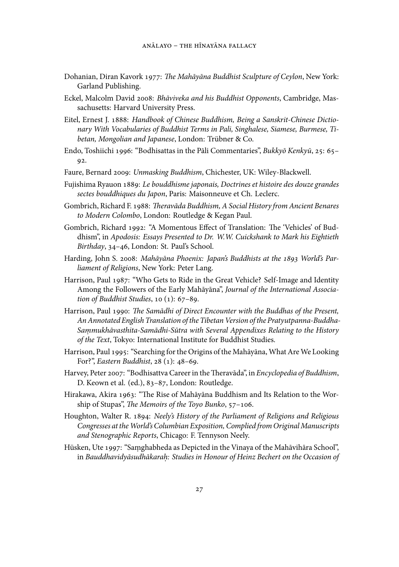- Dohanian, Diran Kavork : *e Mahāyāna Buddhist Sculpture of Ceylon*, New York: Garland Publishing.
- Eckel, Malcolm David 2008: *Bhāviveka and his Buddhist Opponents*, Cambridge, Massachusetts: Harvard University Press.
- Eitel, Ernest J. : *Handbook of Chinese Buddhism, Being a Sanskrit-Chinese Dictionary With Vocabularies of Buddhist Terms in Pali, Singhalese, Siamese, Burmese, Tibetan, Mongolian and Japanese*, London: Trübner & Co.
- Endo, Toshiichi 1996: "Bodhisattas in the Pāli Commentaries", *Bukkyō Kenkyū*, 25: 65-92.
- Faure, Bernard : *Unmasking Buddhism*, Chichester, UK: Wiley-Blackwell.
- Fujishima Ryauon : *Le bouddhisme japonais, Doctrines et histoire des douze grandes sectes bouddhiques du Japon*, Paris: Maisonneuve et Ch. Leclerc.
- Gombrich, Richard F. : *eravāda Buddhism, A Social History from Ancient Benares to Modern Colombo*, London: Routledge & Kegan Paul.
- Gombrich, Richard 1992: "A Momentous Effect of Translation: The 'Vehicles' of Buddhism", in *Apodosis: Essays Presented to Dr. W.W. Cuickshank to Mark his Eightieth* Birthday, 34-46, London: St. Paul's School.
- Harding, John S. 2008: Mahāyāna Phoenix: Japan's Buddhists at the 1893 World's Par*liament of Religions*, New York: Peter Lang.
- Harrison, Paul 1987: "Who Gets to Ride in the Great Vehicle? Self-Image and Identity Among the Followers of the Early Mahāyāna", *Journal of the International Association of Buddhist Studies*, 10 (1): 67-89.
- Harrison, Paul 1990: The Samādhi of Direct Encounter with the Buddhas of the Present, *An Annotated English Translation of the Tibetan Version of the Pratyutpanna-Buddha-Sammukhāvasthita-Samādhi-Sūtra with Several Appendixes Relating to the History . of the Text*, Tokyo: International Institute for Buddhist Studies.
- Harrison, Paul 1995: "Searching for the Origins of the Mahāyāna, What Are We Looking For?", *Eastern Buddhist*, 28 (1): 48-69.
- Harvey, Peter 2007: "Bodhisattva Career in the Theravāda", in *Encyclopedia of Buddhism*, D. Keown et al. (ed.), 83-87, London: Routledge.
- Hirakawa, Akira 1963: "The Rise of Mahāyāna Buddhism and Its Relation to the Worship of Stupas", *The Memoirs of the Toyo Bunko*, 57-106.
- Houghton, Walter R. : *Neely's History of the Parliament of Religions and Religious* Congresses at the World's Columbian Exposition, Complied from Original Manuscripts *and Stenographic Reports*, Chicago: F. Tennyson Neely.
- Hüsken, Ute 1997: "Samghabheda as Depicted in the Vinaya of the Mahāvihāra School", in *Bauddhavidyāsudhākarah: Studies in Honour of Heinz Bechert on the Occasion of .*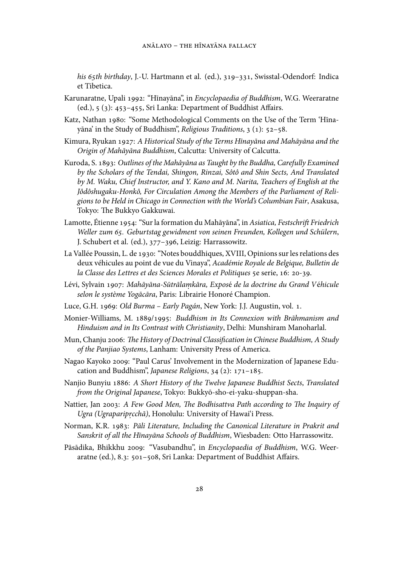his 65th birthday, J.-U. Hartmann et al. (ed.), 319-331, Swisstal-Odendorf: Indica et Tibetica.

- Karunaratne, Upali 1992: "Hīnayāna", in *Encyclopaedia of Buddhism*, W.G. Weeraratne (ed.),  $5$  (3): 453-455, Sri Lanka: Department of Buddhist Affairs.
- Katz, Nathan 1980: "Some Methodological Comments on the Use of the Term 'Hīnayāna' in the Study of Buddhism", *Religious Traditions*, 3 (1): 52-58.
- Kimura, Ryukan : *A Historical Study of the Terms Hīnayāna and Mahāyāna and the Origin of Mahāyāna Buddhism*, Calcutta: University of Calcutta.
- Kuroda, S. : *Outlines of the Mahâyâna as Taught by the Buddha, Carefully Examined by the Scholars of the Tendai, Shingon, Rinzai, Sôtô and Shin Sects, And Translated by M. Waku, Chief Instructor, and Y. Kano and M. Narita, Teachers of English at the Jôdôshugaku-Honkô, For Circulation Among the Members of the Parliament of Religions to be Held in Chicago in Connection with the World's Columbian Fair*, Asakusa, Tokyo: The Bukkyo Gakkuwai.
- Lamotte, Étienne 1954: "Sur la formation du Mahāyāna", in Asiatica, Festschrift Friedrich Weller zum 65. Geburtstag gewidment von seinen Freunden, Kollegen und Schülern, J. Schubert et al. (ed.), 377-396, Leizig: Harrassowitz.
- La Vallée Poussin, L. de 1930: "Notes bouddhiques, XVIII, Opinions sur les relations des deux véhicules au point de vue du Vinaya", *Académie Royale de Belgique, Bulletin de* la Classe des Lettres et des Sciences Morales et Politiques 5e serie, 16: 20-39.
- Lévi, Sylvain 1907: *Mahāyāna-Sūtrālamkāra, Exposé de la doctrine du Grand Véhicule selon le système Yogācāra*, Paris: Librairie Honoré Champion.
- Luce, G.H. 1969: Old Burma Early Pagán, New York: J.J. Augustin, vol. 1.
- Monier-Williams, M. 1889/1995: *Buddhism in Its Connexion with Brāhmanism and Hinduism and in Its Contrast with Christianity*, Delhi: Munshiram Manoharlal.
- Mun, Chanju 2006: *The History of Doctrinal Classification in Chinese Buddhism, A Study of the Panjiao Systems*, Lanham: University Press of America.
- Nagao Kayoko 2009: "Paul Carus' Involvement in the Modernization of Japanese Education and Buddhism", *Japanese Religions*, 34 (2): 171-185.
- Nanjio Bunyiu : *A Short History of the Twelve Japanese Buddhist Sects*, *Translated from the Original Japanese*, Tokyo: Bukkyō-sho-ei-yaku-shuppan-sha.
- Nattier, Jan 2003: A Few Good Men, The Bodhisattva Path according to The Inquiry of *Ugra (Ugraparip. rcchā)*, Honolulu: University of Hawai'i Press.
- Norman, K.R. : *Pāli Literature, Including the Canonical Literature in Prakrit and Sanskrit of all the Hīnayāna Schools of Buddhism*, Wiesbaden: Otto Harrassowitz.
- Pāsādika, Bhikkhu 2009: "Vasubandhu", in *Encyclopaedia of Buddhism*, W.G. Weeraratne (ed.), 8.3: 501-508, Sri Lanka: Department of Buddhist Affairs.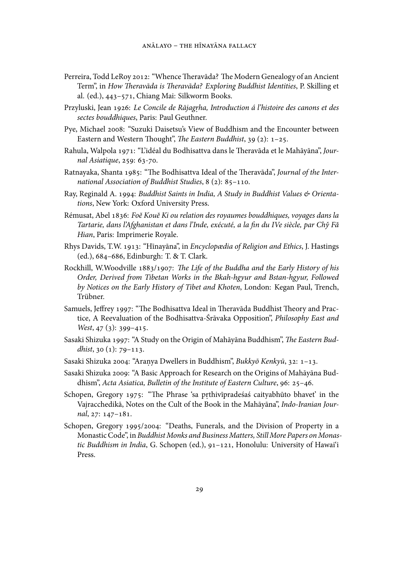- Perreira, Todd LeRoy 2012: "Whence Theravāda? The Modern Genealogy of an Ancient Term", in *How Theravāda is Theravāda? Exploring Buddhist Identities*, P. Skilling et al. (ed.), 443-571, Chiang Mai: Silkworm Books.
- Przyluski, Jean 1926: *Le Concile de Rājagṛha, Introduction á l'histoire des canons et des sectes bouddhiques*, Paris: Paul Geuthner.
- Pye, Michael 2008: "Suzuki Daisetsu's View of Buddhism and the Encounter between Eastern and Western Thought", *The Eastern Buddhist*, 39 (2): 1-25.
- Rahula, Walpola 1971: "L'idéal du Bodhisattva dans le Theravāda et le Mahāyāna", Jour*nal Asiatique*, 259: 63-70.
- Ratnayaka, Shanta 1985: "The Bodhisattva Ideal of the Theravāda", *Journal of the International Association of Buddhist Studies*, 8 (2): 85-110.
- Ray, Reginald A. 1994: *Buddhist Saints in India, A Study in Buddhist Values & Orientations*, New York: Oxford University Press.
- Rémusat, Abel : *Foĕ Kouĕ Ki ou relation des royaumes bouddhiques, voyages dans la Tartarie, dans l'Afghanistan et dans l'Inde, exécuté, a la fin du IVe siècle, par Chy Fă ˇ Hian*, Paris: Imprimerie Royale.
- Rhys Davids, T.W. 1913: "Hīnayāna", in *Encyclopædia of Religion and Ethics*, J. Hastings (ed.), 684-686, Edinburgh: T. & T. Clark.
- Rockhill, W.Woodville 1883/1907: *The Life of the Buddha and the Early History of his Order, Derived from Tibetan Works in the Bkah-hgyur and Bstan-hgyur, Followed by Notices on the Early History of Tibet and Khoten*, London: Kegan Paul, Trench, Trübner.
- Samuels, Jeffrey 1997: "The Bodhisattva Ideal in Theravāda Buddhist Theory and Practice, A Reevaluation of the Bodhisattva-Śrāvaka Opposition", *Philosophy East and West*, 47 (3): 399-415.
- Sasaki Shizuka 1997: "A Study on the Origin of Mahāyāna Buddhism", *The Eastern Bud* $dhist$ ,  $30 (1)$ :  $79-113$ .
- Sasaki Shizuka 2004: "Aranya Dwellers in Buddhism", Bukkyō Kenkyū, 32: 1-13.
- Sasaki Shizuka 2009: "A Basic Approach for Research on the Origins of Mahāyāna Buddhism", *Acta Asiatica, Bulletin of the Institute of Eastern Culture*, 96: 25-46.
- Schopen, Gregory 1975: "The Phrase 'sa pṛthivīpradeśaś caityabhūto bhavet' in the Vajracchedikā, Notes on the Cult of the Book in the Mahāyāna", *Indo-Iranian Journal*, 27: 147-181.
- Schopen, Gregory 1995/2004: "Deaths, Funerals, and the Division of Property in a Monastic Code", in *Buddhist Monks and Business Matters, Still More Papers on Monas*tic Buddhism in India, G. Schopen (ed.), 91-121, Honolulu: University of Hawai'i Press.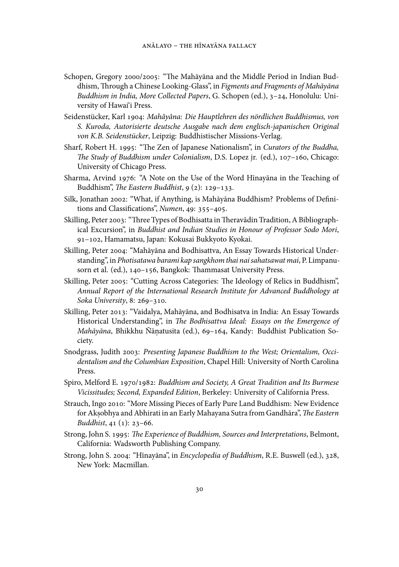- Schopen, Gregory 2000/2005: "The Mahāyāna and the Middle Period in Indian Buddhism, Through a Chinese Looking-Glass", in Figments and Fragments of Mahāyāna Buddhism in India, More Collected Papers, G. Schopen (ed.), 3-24, Honolulu: University of Hawai'i Press.
- Seidenstücker, Karl : *Mahâyâna: Die Hauptlehren des nördlichen Buddhismus, von S. Kuroda, Autorisierte deutsche Ausgabe nach dem englisch-japanischen Original von K.B. Seidenstücker*, Leipzig: Buddhistischer Missions-Verlag.
- Sharf, Robert H. 1995: "The Zen of Japanese Nationalism", in *Curators of the Buddha*, The Study of Buddhism under Colonialism, D.S. Lopez jr. (ed.), 107-160, Chicago: University of Chicago Press.
- Sharma, Arvind 1976: "A Note on the Use of the Word Hīnayāna in the Teaching of Buddhism", *The Eastern Buddhist*, 9 (2): 129-133.
- Silk, Jonathan 2002: "What, if Anything, is Mahāyāna Buddhism? Problems of Definitions and Classifications", *Numen*, 49: 355-405.
- Skilling, Peter 2003: "Three Types of Bodhisatta in Theravādin Tradition, A Bibliographical Excursion", in *Buddhist and Indian Studies in Honour of Professor Sodo Mori*, 91-102, Hamamatsu, Japan: Kokusai Bukkyoto Kyokai.
- Skilling, Peter 2004: "Mahāyāna and Bodhisattva, An Essay Towards Historical Understanding", in *Photisatawa barami kap sangkhom thai nai sahatsawat mai*, P. Limpanusorn et al. (ed.), 140-156, Bangkok: Thammasat University Press.
- Skilling, Peter 2005: "Cutting Across Categories: The Ideology of Relics in Buddhism", *Annual Report of the International Research Institute for Advanced Buddhology at Soka University*, 8: 269-310.
- Skilling, Peter 2013: "Vaidalya, Mahāyāna, and Bodhisatva in India: An Essay Towards Historical Understanding", in *The Bodhisattva Ideal: Essays on the Emergence of Mahāyāna*, Bhikkhu Ñāṇatusita (ed.), 69-164, Kandy: Buddhist Publication Society.
- Snodgrass, Judith 2003: Presenting Japanese Buddhism to the West; Orientalism, Occi*dentalism and the Columbian Exposition*, Chapel Hill: University of North Carolina Press.
- Spiro, Melford E. 1970/1982: *Buddhism and Society, A Great Tradition and Its Burmese Vicissitudes; Second, Expanded Edition*, Berkeley: University of California Press.
- Strauch, Ingo 2010: "More Missing Pieces of Early Pure Land Buddhism: New Evidence for Akṣobhya and Abhirati in an Early Mahayana Sutra from Gandhāra", *The Eastern Buddhist*, 41 (1): 23-66.
- Strong, John S. 1995: The Experience of Buddhism, Sources and Interpretations, Belmont, California: Wadsworth Publishing Company.
- Strong, John S. 2004: "Hīnayāna", in *Encyclopedia of Buddhism*, R.E. Buswell (ed.), 328, New York: Macmillan.